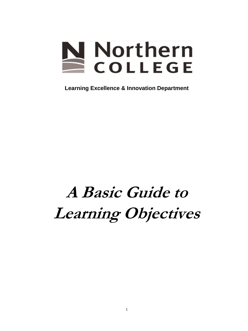# **Northern**<br>COLLEGE

**Learning Excellence & Innovation Department**

## **A Basic Guide to Learning Objectives**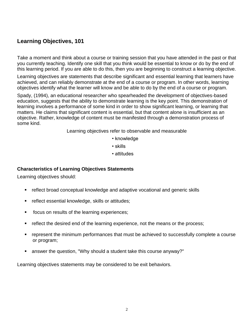### **Learning Objectives, 101**

Take a moment and think about a course or training session that you have attended in the past or that you currently teaching. Identify one skill that you think would be essential to know or do by the end of this learning period. If you are able to do this, then you are beginning to construct a learning objective.

Learning objectives are statements that describe significant and essential learning that learners have achieved, and can reliably demonstrate at the end of a course or program. In other words, learning objectives identify what the learner will know and be able to do by the end of a course or program.

Spady, (1994), an educational researcher who spearheaded the development of objectives-based education, suggests that the ability to demonstrate learning is the key point. This demonstration of learning involves a performance of some kind in order to show significant learning, or learning that matters. He claims that significant content is essential, but that content alone is insufficient as an objective. Rather, knowledge of content must be manifested through a demonstration process of some kind.

Learning objectives refer to observable and measurable

- knowledge
- skills
- attitudes

#### **Characteristics of Learning Objectives Statements**

Learning objectives should:

- reflect broad conceptual knowledge and adaptive vocational and generic skills
- **F** reflect essential knowledge, skills or attitudes;
- **ficus on results of the learning experiences;**
- **F** reflect the desired end of the learning experience, not the means or the process;
- represent the minimum performances that must be achieved to successfully complete a course or program;
- answer the question, "Why should a student take this course anyway?"

Learning objectives statements may be considered to be exit behaviors.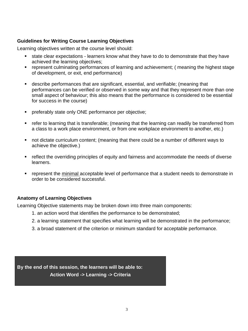#### **Guidelines for Writing Course Learning Objectives**

Learning objectives written at the course level should:

- state clear expectations learners know what they have to do to demonstrate that they have achieved the learning objectives;
- represent culminating performances of learning and achievement; ( meaning the highest stage of development, or exit, end performance)
- describe performances that are significant, essential, and verifiable; (meaning that performances can be verified or observed in some way and that they represent more than one small aspect of behaviour; this also means that the performance is considered to be essential for success in the course)
- **PEDIEREM** preferably state only ONE performance per objective;
- refer to learning that is transferable; (meaning that the learning can readily be transferred from a class to a work place environment, or from one workplace environment to another, etc.)
- not dictate curriculum content; (meaning that there could be a number of different ways to achieve the objective.)
- **F** reflect the overriding principles of equity and fairness and accommodate the needs of diverse learners.
- represent the minimal acceptable level of performance that a student needs to demonstrate in order to be considered successful.

#### **Anatomy of Learning Objectives**

Learning Objective statements may be broken down into three main components:

- 1. an action word that identifies the performance to be demonstrated;
- 2. a learning statement that specifies what learning will be demonstrated in the performance;
- 3. a broad statement of the criterion or minimum standard for acceptable performance.

**By the end of this session, the learners will be able to: Action Word -> Learning -> Criteria**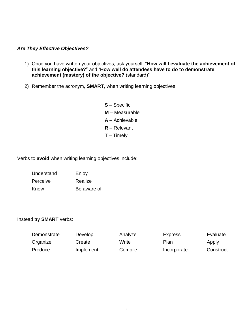#### *Are They Effective Objectives?*

- 1) Once you have written your objectives, ask yourself: "**How will I evaluate the achievement of this learning objective?**" and "**How well do attendees have to do to demonstrate achievement (mastery) of the objective?** (standard)"
- 2) Remember the acronym, **SMART**, when writing learning objectives:
	- **S**  Specific **M** – Measurable **A** – Achievable **R** – Relevant **T** – Timely

Verbs to **avoid** when writing learning objectives include:

| Understand | Enjoy       |
|------------|-------------|
| Perceive   | Realize     |
| Know       | Be aware of |

#### Instead try **SMART** verbs:

| Demonstrate | Develop   | Analyze | <b>Express</b> | Evaluate  |
|-------------|-----------|---------|----------------|-----------|
| Organize    | Create    | Write   | Plan           | Apply     |
| Produce     | Implement | Compile | Incorporate    | Construct |